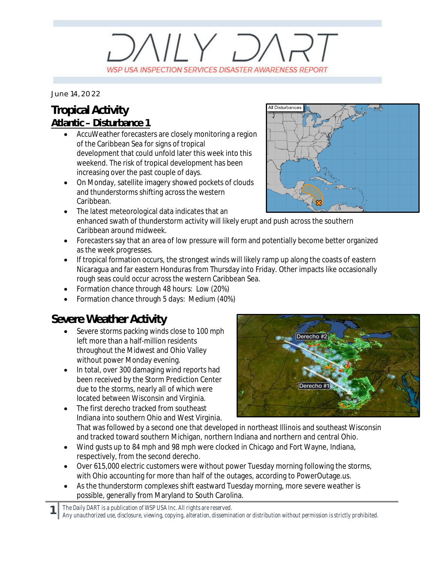## $V/Y$   $D/$ WSP USA INSPECTION SERVICES DISASTER AWARENESS REPORT

*June 14, 2022*

#### **Tropical Activity Atlantic – Disturbance 1**

- AccuWeather forecasters are closely monitoring a region of the Caribbean Sea for signs of tropical development that could unfold later this week into this weekend. The risk of tropical development has been increasing over the past couple of days.
- · On Monday, satellite imagery showed pockets of clouds and thunderstorms shifting across the western Caribbean.



- · The latest meteorological data indicates that an enhanced swath of thunderstorm activity will likely erupt and push across the southern Caribbean around midweek.
- · Forecasters say that an area of low pressure will form and potentially become better organized as the week progresses.
- · If tropical formation occurs, the strongest winds will likely ramp up along the coasts of eastern Nicaragua and far eastern Honduras from Thursday into Friday. Other impacts like occasionally rough seas could occur across the western Caribbean Sea.
- · Formation chance through 48 hours: Low (20%)
- Formation chance through 5 days: Medium (40%)

### **Severe Weather Activity**

- Severe storms packing winds close to 100 mph left more than a half-million residents throughout the Midwest and Ohio Valley without power Monday evening.
- · In total, over 300 damaging wind reports had been received by the Storm Prediction Center due to the storms, nearly all of which were located between Wisconsin and Virginia.
- · The first derecho tracked from southeast Indiana into southern Ohio and West Virginia.



That was followed by a second one that developed in northeast Illinois and southeast Wisconsin and tracked toward southern Michigan, northern Indiana and northern and central Ohio.

- · Wind gusts up to 84 mph and 98 mph were clocked in Chicago and Fort Wayne, Indiana, respectively, from the second derecho.
- · Over 615,000 electric customers were without power Tuesday morning following the storms, with Ohio accounting for more than half of the outages, according to PowerOutage.us.
- As the thunderstorm complexes shift eastward Tuesday morning, more severe weather is possible, generally from Maryland to South Carolina.

*The Daily DART is a publication of WSP USA Inc. All rights are reserved.*

**1**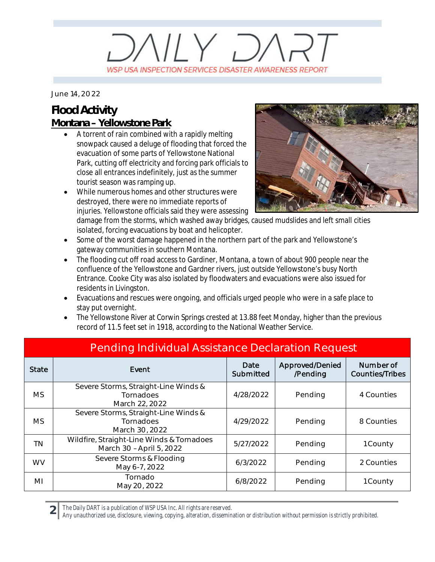## $V/Y$   $D/$ WSP USA INSPECTION SERVICES DISASTER AWARENESS REPORT

*June 14, 2022*

#### **Flood Activity Montana – Yellowstone Park**

- A torrent of rain combined with a rapidly melting snowpack caused a deluge of flooding that forced the evacuation of some parts of Yellowstone National Park, cutting off electricity and forcing park officials to close all entrances indefinitely, just as the summer tourist season was ramping up.
- While numerous homes and other structures were destroyed, there were no immediate reports of injuries. Yellowstone officials said they were assessing



damage from the storms, which washed away bridges, caused mudslides and left small cities isolated, forcing evacuations by boat and helicopter.

- · Some of the worst damage happened in the northern part of the park and Yellowstone's gateway communities in southern Montana.
- The flooding cut off road access to Gardiner, Montana, a town of about 900 people near the confluence of the Yellowstone and Gardner rivers, just outside Yellowstone's busy North Entrance. Cooke City was also isolated by floodwaters and evacuations were also issued for residents in Livingston.
- Evacuations and rescues were ongoing, and officials urged people who were in a safe place to stay put overnight.
- · The Yellowstone River at Corwin Springs crested at 13.88 feet Monday, higher than the previous record of 11.5 feet set in 1918, according to the National Weather Service.

| Pending Individual Assistance Declaration Request |                                                                       |                   |                             |                                     |
|---------------------------------------------------|-----------------------------------------------------------------------|-------------------|-----------------------------|-------------------------------------|
| <b>State</b>                                      | Event                                                                 | Date<br>Submitted | Approved/Denied<br>/Pending | Number of<br><b>Counties/Tribes</b> |
| <b>MS</b>                                         | Severe Storms, Straight-Line Winds &<br>Tornadoes<br>March 22, 2022   | 4/28/2022         | Pending                     | 4 Counties                          |
| <b>MS</b>                                         | Severe Storms, Straight-Line Winds &<br>Tornadoes<br>March 30, 2022   | 4/29/2022         | Pending                     | 8 Counties                          |
| <b>TN</b>                                         | Wildfire, Straight-Line Winds & Tornadoes<br>March 30 - April 5, 2022 | 5/27/2022         | Pending                     | 1 County                            |
| <b>WV</b>                                         | Severe Storms & Flooding<br>May 6-7, 2022                             | 6/3/2022          | Pending                     | 2 Counties                          |
| MI                                                | Tornado<br>May 20, 2022                                               | 6/8/2022          | Pending                     | 1 County                            |

Pending Individual Assistance Declaration Request

*The Daily DART is a publication of WSP USA Inc. All rights are reserved.*

**2**

*Any unauthorized use, disclosure, viewing, copying, alteration, dissemination or distribution without permission is strictly prohibited.*